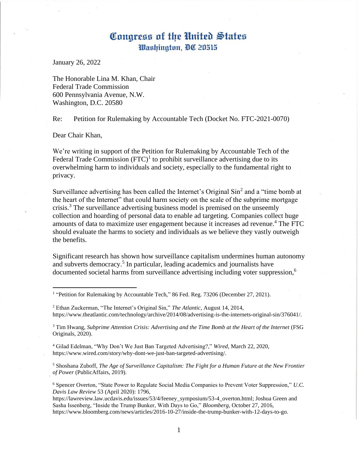## Congress of the United States Washington, DC 20515

January 26, 2022

The Honorable Lina M. Khan, Chair Federal Trade Commission 600 Pennsylvania Avenue, N.W. Washington, D.C. 20580

Re: Petition for Rulemaking by Accountable Tech (Docket No. FTC-2021-0070)

Dear Chair Khan,

We're writing in support of the Petition for Rulemaking by Accountable Tech of the Federal Trade Commission  $(FTC)^1$  to prohibit surveillance advertising due to its overwhelming harm to individuals and society, especially to the fundamental right to privacy.

Surveillance advertising has been called the Internet's Original  $\sin^2$  and a "time bomb at the heart of the Internet" that could harm society on the scale of the subprime mortgage crisis.<sup>3</sup> The surveillance advertising business model is premised on the unseemly collection and hoarding of personal data to enable ad targeting. Companies collect huge amounts of data to maximize user engagement because it increases ad revenue.<sup>4</sup> The FTC should evaluate the harms to society and individuals as we believe they vastly outweigh the benefits.

Significant research has shown how surveillance capitalism undermines human autonomy and subverts democracy.<sup>5</sup> In particular, leading academics and journalists have documented societal harms from surveillance advertising including voter suppression,<sup>6</sup>

<sup>3</sup> Tim Hwang, *Subprime Attention Crisis: Advertising and the Time Bomb at the Heart of the Internet* (FSG Originals, 2020).

<sup>4</sup> Gilad Edelman, "Why Don't We Just Ban Targeted Advertising?," *Wired*, March 22, 2020, https://www.wired.com/story/why-dont-we-just-ban-targeted-advertising/.

<sup>5</sup> Shoshana Zuboff, *The Age of Surveillance Capitalism: The Fight for a Human Future at the New Frontier of Power* (PublicAffairs, 2019).

<sup>6</sup> Spencer Overton, "State Power to Regulate Social Media Companies to Prevent Voter Suppression," *U.C. Davis Law Review* 53 (April 2020): 1796,

https://lawreview.law.ucdavis.edu/issues/53/4/feeney\_symposium/53-4\_overton.html; Joshua Green and Sasha Issenberg, "Inside the Trump Bunker, With Days to Go," *Bloomberg*, October 27, 2016, https://www.bloomberg.com/news/articles/2016-10-27/inside-the-trump-bunker-with-12-days-to-go.

<sup>&</sup>lt;sup>1</sup> "Petition for Rulemaking by Accountable Tech," 86 Fed. Reg. 73206 (December 27, 2021).

<sup>2</sup> Ethan Zuckerman, "The Internet's Original Sin," *The Atlantic*, August 14, 2014, https://www.theatlantic.com/technology/archive/2014/08/advertising-is-the-internets-original-sin/376041/.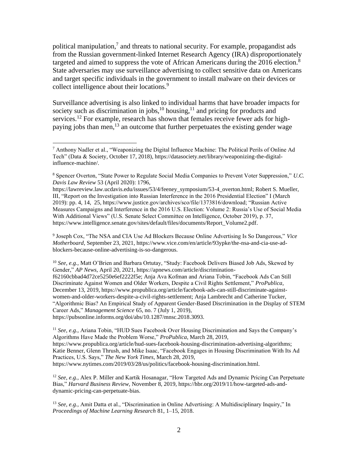political manipulation,<sup>7</sup> and threats to national security. For example, propagandist ads from the Russian government-linked Internet Research Agency (IRA) disproportionately targeted and aimed to suppress the vote of African Americans during the 2016 election.<sup>8</sup> State adversaries may use surveillance advertising to collect sensitive data on Americans and target specific individuals in the government to install malware on their devices or collect intelligence about their locations.<sup>9</sup>

Surveillance advertising is also linked to individual harms that have broader impacts for society such as discrimination in jobs, $10$  housing, $11$  and pricing for products and services.<sup>12</sup> For example, research has shown that females receive fewer ads for highpaying jobs than men,<sup>13</sup> an outcome that further perpetuates the existing gender wage

<sup>10</sup> *See, e.g.,* Matt O'Brien and Barbara Ortutay, "Study: Facebook Delivers Biased Job Ads, Skewed by Gender," *AP News*, April 20, 2021, https://apnews.com/article/discriminationf62160cbbad4d72ce5250e6ef2222f5e; Anja Ava Kofman and Ariana Tobin, "Facebook Ads Can Still Discriminate Against Women and Older Workers, Despite a Civil Rights Settlement," *ProPublica*, December 13, 2019, https://www.propublica.org/article/facebook-ads-can-still-discriminate-againstwomen-and-older-workers-despite-a-civil-rights-settlement; Anja Lambrecht and Catherine Tucker, "Algorithmic Bias? An Empirical Study of Apparent Gender-Based Discrimination in the Display of STEM Career Ads," *Management Science* 65, no. 7 (July 1, 2019), https://pubsonline.informs.org/doi/abs/10.1287/mnsc.2018.3093.

<sup>11</sup> *See, e.g.,* Ariana Tobin, "HUD Sues Facebook Over Housing Discrimination and Says the Company's Algorithms Have Made the Problem Worse," *ProPublica*, March 28, 2019, https://www.propublica.org/article/hud-sues-facebook-housing-discrimination-advertising-algorithms; Katie Benner, Glenn Thrush, and Mike Isaac, "Facebook Engages in Housing Discrimination With Its Ad Practices, U.S. Says," *The New York Times*, March 28, 2019, https://www.nytimes.com/2019/03/28/us/politics/facebook-housing-discrimination.html.

<sup>12</sup> *See, e.g.,* Alex P. Miller and Kartik Hosanagar, "How Targeted Ads and Dynamic Pricing Can Perpetuate Bias," *Harvard Business Review,* November 8, 2019, https://hbr.org/2019/11/how-targeted-ads-anddynamic-pricing-can-perpetuate-bias.

<sup>13</sup> *See, e.g.,* Amit Datta et al., "Discrimination in Online Advertising: A Multidisciplinary Inquiry," In *Proceedings of Machine Learning Research* 81, 1–15, 2018.

 $^7$  Anthony Nadler et al., "Weaponizing the Digital Influence Machine: The Political Perils of Online Ad Tech" (Data & Society, October 17, 2018), https://datasociety.net/library/weaponizing-the-digitalinfluence-machine/.

<sup>8</sup> Spencer Overton, "State Power to Regulate Social Media Companies to Prevent Voter Suppression," *U.C. Davis Law Review* 53 (April 2020): 1796,

https://lawreview.law.ucdavis.edu/issues/53/4/feeney\_symposium/53-4\_overton.html; Robert S. Mueller, III, "Report on the Investigation into Russian Interference in the 2016 Presidential Election" I (March 2019): pp. 4, 14, 25, https://www.justice.gov/archives/sco/file/1373816/download; "Russian Active Measures Campaigns and Interference in the 2016 U.S. Election: Volume 2: Russia's Use of Social Media With Additional Views" (U.S. Senate Select Committee on Intelligence, October 2019), p. 37, https://www.intelligence.senate.gov/sites/default/files/documents/Report\_Volume2.pdf.

<sup>9</sup> Joseph Cox, "The NSA and CIA Use Ad Blockers Because Online Advertising Is So Dangerous," *Vice Motherboard*, September 23, 2021, https://www.vice.com/en/article/93ypke/the-nsa-and-cia-use-adblockers-because-online-advertising-is-so-dangerous.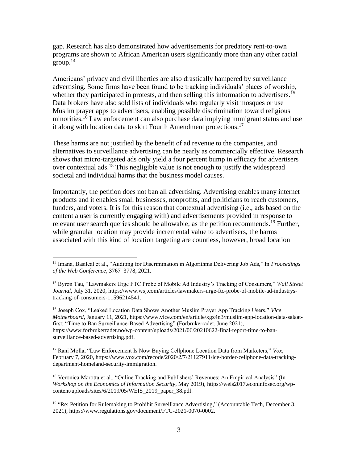gap. Research has also demonstrated how advertisements for predatory rent-to-own programs are shown to African American users significantly more than any other racial group. $14$ 

Americans' privacy and civil liberties are also drastically hampered by surveillance advertising. Some firms have been found to be tracking individuals' places of worship, whether they participated in protests, and then selling this information to advertisers.<sup>15</sup> Data brokers have also sold lists of individuals who regularly visit mosques or use Muslim prayer apps to advertisers, enabling possible discrimination toward religious minorities.<sup>16</sup> Law enforcement can also purchase data implying immigrant status and use it along with location data to skirt Fourth Amendment protections.<sup>17</sup>

These harms are not justified by the benefit of ad revenue to the companies, and alternatives to surveillance advertising can be nearly as commercially effective. Research shows that micro-targeted ads only yield a four percent bump in efficacy for advertisers over contextual ads.<sup>18</sup> This negligible value is not enough to justify the widespread societal and individual harms that the business model causes.

Importantly, the petition does not ban all advertising. Advertising enables many internet products and it enables small businesses, nonprofits, and politicians to reach customers, funders, and voters. It is for this reason that contextual advertising (i.e., ads based on the content a user is currently engaging with) and advertisements provided in response to relevant user search queries should be allowable, as the petition recommends.<sup>19</sup> Further, while granular location may provide incremental value to advertisers, the harms associated with this kind of location targeting are countless, however, broad location

<sup>18</sup> Veronica Marotta et al., "Online Tracking and Publishers' Revenues: An Empirical Analysis" (In *Workshop on the Economics of Information Security*, May 2019), https://weis2017.econinfosec.org/wpcontent/uploads/sites/6/2019/05/WEIS\_2019\_paper\_38.pdf.

<sup>14</sup> Imana, Basileal et al., "Auditing for Discrimination in Algorithms Delivering Job Ads," In *Proceedings of the Web Conference*, 3767–3778, 2021.

<sup>15</sup> Byron Tau, "Lawmakers Urge FTC Probe of Mobile Ad Industry's Tracking of Consumers," *Wall Street Journal*, July 31, 2020, https://www.wsj.com/articles/lawmakers-urge-ftc-probe-of-mobile-ad-industrystracking-of-consumers-11596214541.

<sup>16</sup> Joseph Cox, "Leaked Location Data Shows Another Muslim Prayer App Tracking Users," *Vice Motherboard*, January 11, 2021, https://www.vice.com/en/article/xgz4n3/muslim-app-location-data-salaatfirst; "Time to Ban Surveillance-Based Advertising" (Forbrukerradet, June 2021), https://www.forbrukerradet.no/wp-content/uploads/2021/06/20210622-final-report-time-to-bansurveillance-based-advertising.pdf.

<sup>17</sup> Rani Molla, "Law Enforcement Is Now Buying Cellphone Location Data from Marketers," *Vox*, February 7, 2020, https://www.vox.com/recode/2020/2/7/21127911/ice-border-cellphone-data-trackingdepartment-homeland-security-immigration.

<sup>&</sup>lt;sup>19</sup> "Re: Petition for Rulemaking to Prohibit Surveillance Advertising," (Accountable Tech, December 3, 2021), https://www.regulations.gov/document/FTC-2021-0070-0002.